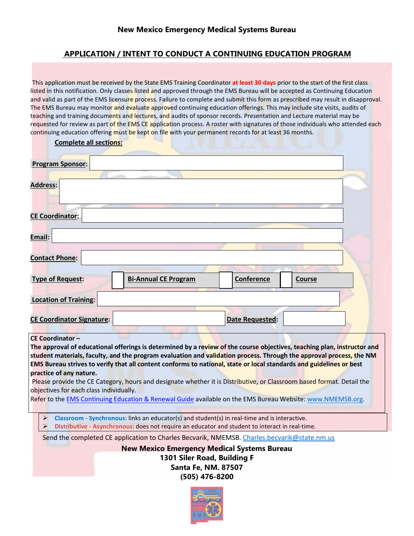## **APPLICATION / INTENT TO CONDUCT A CONTINUING EDUCATION PROGRAM**

This application must be received by the State EMS Training Coordinator **at least 30 days** prior to the start of the first class listed in this notification. Only classes listed and approved through the EMS Bureau will be accepted as Continuing Education and valid as part of the EMS licensure process. Failure to complete and submit this form as prescribed may result in disapproval. The EMS Bureau may monitor and evaluate approved continuing education offerings. This may include site visits, audits of teaching and training documents and lectures, and audits of sponsor records. Presentation and Lecture material may be requested for review as part of the EMS CE application process. A roster with signatures of those individuals who attended each continuing education offering must be kept on file with your permanent records for at least 36 months.

**Complete all sections:**

| <b>Program Sponsor:</b>                                                                                                                                                                                                                                                                                                                                                                                                                                                                                                                                                                                                                                                                                      |                             |                 |               |  |
|--------------------------------------------------------------------------------------------------------------------------------------------------------------------------------------------------------------------------------------------------------------------------------------------------------------------------------------------------------------------------------------------------------------------------------------------------------------------------------------------------------------------------------------------------------------------------------------------------------------------------------------------------------------------------------------------------------------|-----------------------------|-----------------|---------------|--|
| <b>Address:</b>                                                                                                                                                                                                                                                                                                                                                                                                                                                                                                                                                                                                                                                                                              |                             |                 |               |  |
| <b>CE Coordinator:</b>                                                                                                                                                                                                                                                                                                                                                                                                                                                                                                                                                                                                                                                                                       |                             |                 |               |  |
| Email:                                                                                                                                                                                                                                                                                                                                                                                                                                                                                                                                                                                                                                                                                                       |                             |                 |               |  |
| <b>Contact Phone:</b>                                                                                                                                                                                                                                                                                                                                                                                                                                                                                                                                                                                                                                                                                        |                             |                 |               |  |
| <b>Type of Request:</b>                                                                                                                                                                                                                                                                                                                                                                                                                                                                                                                                                                                                                                                                                      | <b>Bi-Annual CE Program</b> | Conference      | <b>Course</b> |  |
| <b>Location of Training:</b>                                                                                                                                                                                                                                                                                                                                                                                                                                                                                                                                                                                                                                                                                 |                             |                 |               |  |
| <b>CE Coordinator Signature:</b>                                                                                                                                                                                                                                                                                                                                                                                                                                                                                                                                                                                                                                                                             |                             | Date Requested: |               |  |
| <b>CE Coordinator-</b><br>The approval of educational offerings is determined by a review of the course objectives, teaching plan, instructor and<br>student materials, faculty, and the program evaluation and validation process. Through the approval process, the NM<br>EMS Bureau strives to verify that all content conforms to national, state or local standards and guidelines or best<br>practice of any nature.<br>Please provide the CE Category, hours and designate whether it is Distributive, or Classroom based format. Detail the<br>objectives for each class individually.<br>Refer to the EMS Continuing Education & Renewal Guide available on the EMS Bureau Website: www.NMEMSB.org. |                             |                 |               |  |
| Classroom - Synchronous: links an educator(s) and student(s) in real-time and is interactive.<br>$\blacktriangleright$                                                                                                                                                                                                                                                                                                                                                                                                                                                                                                                                                                                       |                             |                 |               |  |

**Distributive - Asynchronous**: does not require an educator and student to interact in real-time.

Send the completed CE application to Charles Becvarik, NMEMSB. [Charles.becvarik@state.nm.us](mailto:Charles.becvarik@state.nm.us)

**New Mexico Emergency Medical Systems Bureau 1301 Siler Road, Building F Santa Fe, NM. 87507 (505) 476-8200**

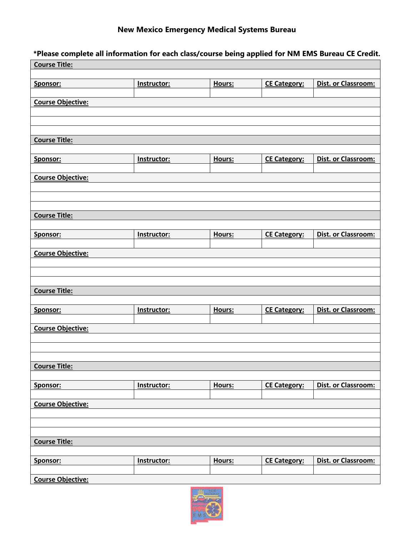## **New Mexico Emergency Medical Systems Bureau**

**\*Please complete all information for each class/course being applied for NM EMS Bureau CE Credit.**

| <b>Course Title:</b>     |             |        |                     |                     |
|--------------------------|-------------|--------|---------------------|---------------------|
| Sponsor:                 | Instructor: | Hours: | <b>CE Category:</b> | Dist. or Classroom: |
| <b>Course Objective:</b> |             |        |                     |                     |
|                          |             |        |                     |                     |
|                          |             |        |                     |                     |
| <b>Course Title:</b>     |             |        |                     |                     |
|                          |             |        |                     |                     |
| Sponsor:                 | Instructor: | Hours: | <b>CE Category:</b> | Dist. or Classroom: |
| <b>Course Objective:</b> |             |        |                     |                     |
|                          |             |        |                     |                     |
|                          |             |        |                     |                     |
| <b>Course Title:</b>     |             |        |                     |                     |
| Sponsor:                 | Instructor: | Hours: | <b>CE Category:</b> | Dist. or Classroom: |
| <b>Course Objective:</b> |             |        |                     |                     |
|                          |             |        |                     |                     |
|                          |             |        |                     |                     |
| <b>Course Title:</b>     |             |        |                     |                     |
|                          |             |        |                     |                     |
| Sponsor:                 | Instructor: | Hours: | <b>CE Category:</b> | Dist. or Classroom: |
| <b>Course Objective:</b> |             |        |                     |                     |
|                          |             |        |                     |                     |
|                          |             |        |                     |                     |
| <b>Course Title:</b>     |             |        |                     |                     |
| Sponsor:                 | Instructor: | Hours: | <b>CE Category:</b> | Dist. or Classroom: |
| <b>Course Objective:</b> |             |        |                     |                     |
|                          |             |        |                     |                     |
|                          |             |        |                     |                     |
| <b>Course Title:</b>     |             |        |                     |                     |
|                          |             |        |                     |                     |
| Sponsor:                 | Instructor: | Hours: | <b>CE Category:</b> | Dist. or Classroom: |
| <b>Course Objective:</b> |             |        |                     |                     |